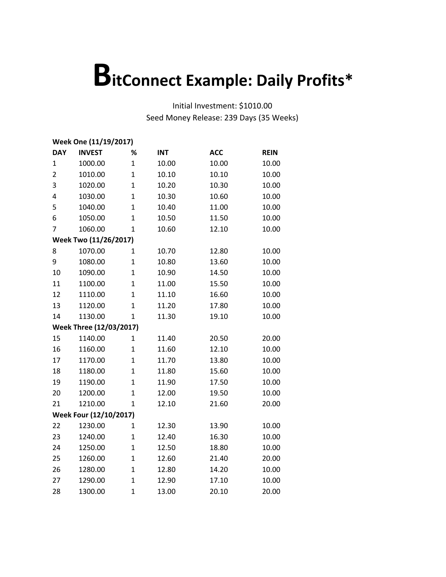| Week One (11/19/2017) |                         |                |            |            |             |  |  |
|-----------------------|-------------------------|----------------|------------|------------|-------------|--|--|
| <b>DAY</b>            | <b>INVEST</b>           | %              | <b>INT</b> | <b>ACC</b> | <b>REIN</b> |  |  |
| 1                     | 1000.00                 | $\mathbf{1}$   | 10.00      | 10.00      | 10.00       |  |  |
| $\overline{2}$        | 1010.00                 | $\mathbf{1}$   | 10.10      | 10.10      | 10.00       |  |  |
| 3                     | 1020.00                 | $\overline{1}$ | 10.20      | 10.30      | 10.00       |  |  |
| 4                     | 1030.00                 | $\mathbf{1}$   | 10.30      | 10.60      | 10.00       |  |  |
| 5                     | 1040.00                 | $\overline{1}$ | 10.40      | 11.00      | 10.00       |  |  |
| 6                     | 1050.00                 | $\mathbf 1$    | 10.50      | 11.50      | 10.00       |  |  |
| 7                     | 1060.00                 | $\mathbf{1}$   | 10.60      | 12.10      | 10.00       |  |  |
|                       | Week Two (11/26/2017)   |                |            |            |             |  |  |
| 8                     | 1070.00                 | $\mathbf{1}$   | 10.70      | 12.80      | 10.00       |  |  |
| 9                     | 1080.00                 | $\overline{1}$ | 10.80      | 13.60      | 10.00       |  |  |
| 10                    | 1090.00                 | $\overline{1}$ | 10.90      | 14.50      | 10.00       |  |  |
| 11                    | 1100.00                 | $\overline{1}$ | 11.00      | 15.50      | 10.00       |  |  |
| 12                    | 1110.00                 | $\overline{1}$ | 11.10      | 16.60      | 10.00       |  |  |
| 13                    | 1120.00                 | $\overline{1}$ | 11.20      | 17.80      | 10.00       |  |  |
| 14                    | 1130.00                 | $\mathbf{1}$   | 11.30      | 19.10      | 10.00       |  |  |
|                       | Week Three (12/03/2017) |                |            |            |             |  |  |
| 15                    | 1140.00                 | $\mathbf{1}$   | 11.40      | 20.50      | 20.00       |  |  |
| 16                    | 1160.00                 | $\mathbf{1}$   | 11.60      | 12.10      | 10.00       |  |  |
| 17                    | 1170.00                 | $\overline{1}$ | 11.70      | 13.80      | 10.00       |  |  |
| 18                    | 1180.00                 | $\overline{1}$ | 11.80      | 15.60      | 10.00       |  |  |
| 19                    | 1190.00                 | $\overline{1}$ | 11.90      | 17.50      | 10.00       |  |  |
| 20                    | 1200.00                 | $\mathbf{1}$   | 12.00      | 19.50      | 10.00       |  |  |
| 21                    | 1210.00                 | $\mathbf{1}$   | 12.10      | 21.60      | 20.00       |  |  |
|                       | Week Four (12/10/2017)  |                |            |            |             |  |  |
| 22                    | 1230.00                 | $\mathbf{1}$   | 12.30      | 13.90      | 10.00       |  |  |
| 23                    | 1240.00                 | $\mathbf 1$    | 12.40      | 16.30      | 10.00       |  |  |
| 24                    | 1250.00                 | $\mathbf{1}$   | 12.50      | 18.80      | 10.00       |  |  |
| 25                    | 1260.00                 | $\overline{1}$ | 12.60      | 21.40      | 20.00       |  |  |
| 26                    | 1280.00                 | $\mathbf{1}$   | 12.80      | 14.20      | 10.00       |  |  |
| 27                    | 1290.00                 | $\mathbf{1}$   | 12.90      | 17.10      | 10.00       |  |  |
| 28                    | 1300.00                 | $\mathbf{1}$   | 13.00      | 20.10      | 20.00       |  |  |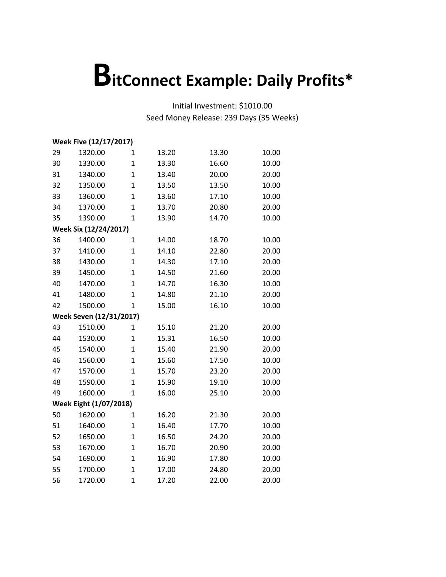| Week Five (12/17/2017) |                         |                |       |       |       |  |
|------------------------|-------------------------|----------------|-------|-------|-------|--|
| 29                     | 1320.00                 | 1              | 13.20 | 13.30 | 10.00 |  |
| 30                     | 1330.00                 | $\mathbf{1}$   | 13.30 | 16.60 | 10.00 |  |
| 31                     | 1340.00                 | $\mathbf{1}$   | 13.40 | 20.00 | 20.00 |  |
| 32                     | 1350.00                 | $\mathbf{1}$   | 13.50 | 13.50 | 10.00 |  |
| 33                     | 1360.00                 | $\mathbf{1}$   | 13.60 | 17.10 | 10.00 |  |
| 34                     | 1370.00                 | $\mathbf 1$    | 13.70 | 20.80 | 20.00 |  |
| 35                     | 1390.00                 | $\mathbf{1}$   | 13.90 | 14.70 | 10.00 |  |
|                        | Week Six (12/24/2017)   |                |       |       |       |  |
| 36                     | 1400.00                 | $\mathbf 1$    | 14.00 | 18.70 | 10.00 |  |
| 37                     | 1410.00                 | $\mathbf{1}$   | 14.10 | 22.80 | 20.00 |  |
| 38                     | 1430.00                 | $\mathbf{1}$   | 14.30 | 17.10 | 20.00 |  |
| 39                     | 1450.00                 | $\mathbf 1$    | 14.50 | 21.60 | 20.00 |  |
| 40                     | 1470.00                 | $\overline{1}$ | 14.70 | 16.30 | 10.00 |  |
| 41                     | 1480.00                 | $\mathbf 1$    | 14.80 | 21.10 | 20.00 |  |
| 42                     | 1500.00                 | $\mathbf 1$    | 15.00 | 16.10 | 10.00 |  |
|                        | Week Seven (12/31/2017) |                |       |       |       |  |
| 43                     | 1510.00                 | $\mathbf{1}$   | 15.10 | 21.20 | 20.00 |  |
| 44                     | 1530.00                 | $\mathbf{1}$   | 15.31 | 16.50 | 10.00 |  |
| 45                     | 1540.00                 | $\mathbf{1}$   | 15.40 | 21.90 | 20.00 |  |
| 46                     | 1560.00                 | $\mathbf{1}$   | 15.60 | 17.50 | 10.00 |  |
| 47                     | 1570.00                 | $\mathbf{1}$   | 15.70 | 23.20 | 20.00 |  |
| 48                     | 1590.00                 | $\mathbf{1}$   | 15.90 | 19.10 | 10.00 |  |
| 49                     | 1600.00                 | $\mathbf 1$    | 16.00 | 25.10 | 20.00 |  |
|                        | Week Eight (1/07/2018)  |                |       |       |       |  |
| 50                     | 1620.00                 | $\mathbf{1}$   | 16.20 | 21.30 | 20.00 |  |
| 51                     | 1640.00                 | $\mathbf{1}$   | 16.40 | 17.70 | 10.00 |  |
| 52                     | 1650.00                 | $\mathbf{1}$   | 16.50 | 24.20 | 20.00 |  |
| 53                     | 1670.00                 | $\mathbf{1}$   | 16.70 | 20.90 | 20.00 |  |
| 54                     | 1690.00                 | $\mathbf 1$    | 16.90 | 17.80 | 10.00 |  |
| 55                     | 1700.00                 | $\mathbf{1}$   | 17.00 | 24.80 | 20.00 |  |
| 56                     | 1720.00                 | $\overline{1}$ | 17.20 | 22.00 | 20.00 |  |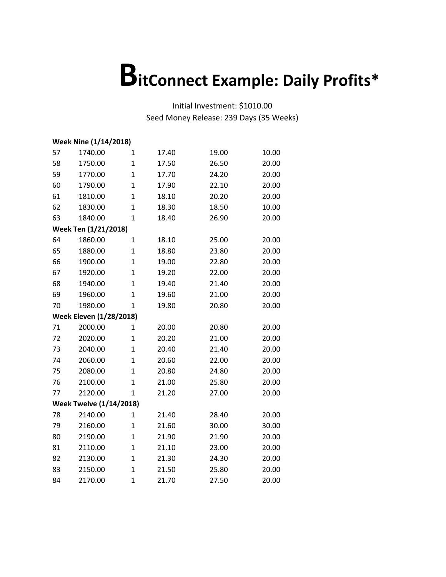|    | Week Nine (1/14/2018)          |                |       |       |       |  |  |  |  |
|----|--------------------------------|----------------|-------|-------|-------|--|--|--|--|
| 57 | 1740.00                        | 1              | 17.40 | 19.00 | 10.00 |  |  |  |  |
| 58 | 1750.00                        | $\mathbf{1}$   | 17.50 | 26.50 | 20.00 |  |  |  |  |
| 59 | 1770.00                        | 1              | 17.70 | 24.20 | 20.00 |  |  |  |  |
| 60 | 1790.00                        | $\mathbf{1}$   | 17.90 | 22.10 | 20.00 |  |  |  |  |
| 61 | 1810.00                        | $\overline{1}$ | 18.10 | 20.20 | 20.00 |  |  |  |  |
| 62 | 1830.00                        | $\mathbf{1}$   | 18.30 | 18.50 | 10.00 |  |  |  |  |
| 63 | 1840.00                        | $\mathbf{1}$   | 18.40 | 26.90 | 20.00 |  |  |  |  |
|    | Week Ten (1/21/2018)           |                |       |       |       |  |  |  |  |
| 64 | 1860.00                        | 1              | 18.10 | 25.00 | 20.00 |  |  |  |  |
| 65 | 1880.00                        | $\mathbf{1}$   | 18.80 | 23.80 | 20.00 |  |  |  |  |
| 66 | 1900.00                        | $\overline{1}$ | 19.00 | 22.80 | 20.00 |  |  |  |  |
| 67 | 1920.00                        | $\mathbf{1}$   | 19.20 | 22.00 | 20.00 |  |  |  |  |
| 68 | 1940.00                        | $\mathbf{1}$   | 19.40 | 21.40 | 20.00 |  |  |  |  |
| 69 | 1960.00                        | $\mathbf{1}$   | 19.60 | 21.00 | 20.00 |  |  |  |  |
| 70 | 1980.00                        | $\mathbf{1}$   | 19.80 | 20.80 | 20.00 |  |  |  |  |
|    | <b>Week Eleven (1/28/2018)</b> |                |       |       |       |  |  |  |  |
| 71 | 2000.00                        | 1              | 20.00 | 20.80 | 20.00 |  |  |  |  |
| 72 | 2020.00                        | 1              | 20.20 | 21.00 | 20.00 |  |  |  |  |
| 73 | 2040.00                        | $\mathbf{1}$   | 20.40 | 21.40 | 20.00 |  |  |  |  |
| 74 | 2060.00                        | $\mathbf{1}$   | 20.60 | 22.00 | 20.00 |  |  |  |  |
| 75 | 2080.00                        | $\mathbf{1}$   | 20.80 | 24.80 | 20.00 |  |  |  |  |
| 76 | 2100.00                        | $\overline{1}$ | 21.00 | 25.80 | 20.00 |  |  |  |  |
| 77 | 2120.00                        | 1              | 21.20 | 27.00 | 20.00 |  |  |  |  |
|    | <b>Week Twelve (1/14/2018)</b> |                |       |       |       |  |  |  |  |
| 78 | 2140.00                        | $\mathbf{1}$   | 21.40 | 28.40 | 20.00 |  |  |  |  |
| 79 | 2160.00                        | $\mathbf{1}$   | 21.60 | 30.00 | 30.00 |  |  |  |  |
| 80 | 2190.00                        | $\mathbf{1}$   | 21.90 | 21.90 | 20.00 |  |  |  |  |
| 81 | 2110.00                        | $\mathbf{1}$   | 21.10 | 23.00 | 20.00 |  |  |  |  |
| 82 | 2130.00                        | $\mathbf{1}$   | 21.30 | 24.30 | 20.00 |  |  |  |  |
| 83 | 2150.00                        | $\mathbf{1}$   | 21.50 | 25.80 | 20.00 |  |  |  |  |
| 84 | 2170.00                        | $\mathbf{1}$   | 21.70 | 27.50 | 20.00 |  |  |  |  |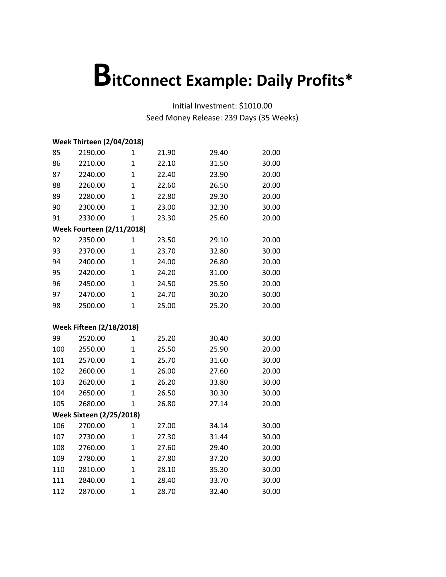|     | <b>Week Thirteen (2/04/2018)</b> |                |       |       |       |  |  |
|-----|----------------------------------|----------------|-------|-------|-------|--|--|
| 85  | 2190.00                          | $\mathbf{1}$   | 21.90 | 29.40 | 20.00 |  |  |
| 86  | 2210.00                          | $\mathbf{1}$   | 22.10 | 31.50 | 30.00 |  |  |
| 87  | 2240.00                          | $\mathbf{1}$   | 22.40 | 23.90 | 20.00 |  |  |
| 88  | 2260.00                          | $\mathbf{1}$   | 22.60 | 26.50 | 20.00 |  |  |
| 89  | 2280.00                          | $\overline{1}$ | 22.80 | 29.30 | 20.00 |  |  |
| 90  | 2300.00                          | $\overline{1}$ | 23.00 | 32.30 | 30.00 |  |  |
| 91  | 2330.00                          | $\mathbf 1$    | 23.30 | 25.60 | 20.00 |  |  |
|     | <b>Week Fourteen (2/11/2018)</b> |                |       |       |       |  |  |
| 92  | 2350.00                          | 1              | 23.50 | 29.10 | 20.00 |  |  |
| 93  | 2370.00                          | $\mathbf{1}$   | 23.70 | 32.80 | 30.00 |  |  |
| 94  | 2400.00                          | $\overline{1}$ | 24.00 | 26.80 | 20.00 |  |  |
| 95  | 2420.00                          | $\overline{1}$ | 24.20 | 31.00 | 30.00 |  |  |
| 96  | 2450.00                          | $\overline{1}$ | 24.50 | 25.50 | 20.00 |  |  |
| 97  | 2470.00                          | $\mathbf{1}$   | 24.70 | 30.20 | 30.00 |  |  |
| 98  | 2500.00                          | $\mathbf{1}$   | 25.00 | 25.20 | 20.00 |  |  |
|     |                                  |                |       |       |       |  |  |
|     | <b>Week Fifteen (2/18/2018)</b>  |                |       |       |       |  |  |
| 99  | 2520.00                          | 1              | 25.20 | 30.40 | 30.00 |  |  |
| 100 | 2550.00                          | $\mathbf{1}$   | 25.50 | 25.90 | 20.00 |  |  |
| 101 | 2570.00                          | $\mathbf{1}$   | 25.70 | 31.60 | 30.00 |  |  |
| 102 | 2600.00                          | $\overline{1}$ | 26.00 | 27.60 | 20.00 |  |  |
| 103 | 2620.00                          | $\mathbf{1}$   | 26.20 | 33.80 | 30.00 |  |  |
| 104 | 2650.00                          | $\overline{1}$ | 26.50 | 30.30 | 30.00 |  |  |
| 105 | 2680.00                          | $\mathbf{1}$   | 26.80 | 27.14 | 20.00 |  |  |
|     | <b>Week Sixteen (2/25/2018)</b>  |                |       |       |       |  |  |
| 106 | 2700.00                          | $\mathbf{1}$   | 27.00 | 34.14 | 30.00 |  |  |
| 107 | 2730.00                          | $\mathbf{1}$   | 27.30 | 31.44 | 30.00 |  |  |
| 108 | 2760.00                          | $\mathbf{1}$   | 27.60 | 29.40 | 20.00 |  |  |
| 109 | 2780.00                          | $\mathbf{1}$   | 27.80 | 37.20 | 30.00 |  |  |
| 110 | 2810.00                          | $\mathbf{1}$   | 28.10 | 35.30 | 30.00 |  |  |
| 111 | 2840.00                          | $\overline{1}$ | 28.40 | 33.70 | 30.00 |  |  |
| 112 | 2870.00                          | $\overline{1}$ | 28.70 | 32.40 | 30.00 |  |  |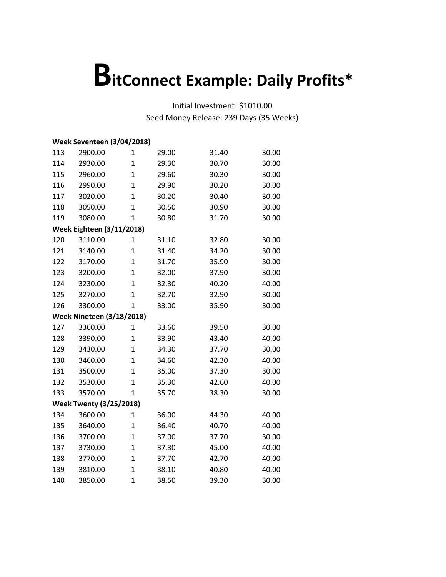|     | <b>Week Seventeen (3/04/2018)</b> |                |       |       |       |
|-----|-----------------------------------|----------------|-------|-------|-------|
| 113 | 2900.00                           | 1              | 29.00 | 31.40 | 30.00 |
| 114 | 2930.00                           | $\mathbf{1}$   | 29.30 | 30.70 | 30.00 |
| 115 | 2960.00                           | $\mathbf{1}$   | 29.60 | 30.30 | 30.00 |
| 116 | 2990.00                           | $\overline{1}$ | 29.90 | 30.20 | 30.00 |
| 117 | 3020.00                           | $\overline{1}$ | 30.20 | 30.40 | 30.00 |
| 118 | 3050.00                           | $\mathbf{1}$   | 30.50 | 30.90 | 30.00 |
| 119 | 3080.00                           | $\mathbf{1}$   | 30.80 | 31.70 | 30.00 |
|     | <b>Week Eighteen (3/11/2018)</b>  |                |       |       |       |
| 120 | 3110.00                           | 1              | 31.10 | 32.80 | 30.00 |
| 121 | 3140.00                           | $\mathbf 1$    | 31.40 | 34.20 | 30.00 |
| 122 | 3170.00                           | $\mathbf{1}$   | 31.70 | 35.90 | 30.00 |
| 123 | 3200.00                           | $\mathbf{1}$   | 32.00 | 37.90 | 30.00 |
| 124 | 3230.00                           | $\mathbf{1}$   | 32.30 | 40.20 | 40.00 |
| 125 | 3270.00                           | $\mathbf{1}$   | 32.70 | 32.90 | 30.00 |
| 126 | 3300.00                           | $\mathbf 1$    | 33.00 | 35.90 | 30.00 |
|     | <b>Week Nineteen (3/18/2018)</b>  |                |       |       |       |
| 127 | 3360.00                           | 1              | 33.60 | 39.50 | 30.00 |
| 128 | 3390.00                           | $\mathbf{1}$   | 33.90 | 43.40 | 40.00 |
| 129 | 3430.00                           | $\overline{1}$ | 34.30 | 37.70 | 30.00 |
| 130 | 3460.00                           | $\mathbf{1}$   | 34.60 | 42.30 | 40.00 |
| 131 | 3500.00                           | $\overline{1}$ | 35.00 | 37.30 | 30.00 |
| 132 | 3530.00                           | $\overline{1}$ | 35.30 | 42.60 | 40.00 |
| 133 | 3570.00                           | $\mathbf{1}$   | 35.70 | 38.30 | 30.00 |
|     | <b>Week Twenty (3/25/2018)</b>    |                |       |       |       |
| 134 | 3600.00                           | $\mathbf{1}$   | 36.00 | 44.30 | 40.00 |
| 135 | 3640.00                           | 1              | 36.40 | 40.70 | 40.00 |
| 136 | 3700.00                           | $\overline{1}$ | 37.00 | 37.70 | 30.00 |
| 137 | 3730.00                           | $\overline{1}$ | 37.30 | 45.00 | 40.00 |
| 138 | 3770.00                           | $\mathbf{1}$   | 37.70 | 42.70 | 40.00 |
| 139 | 3810.00                           | $\mathbf 1$    | 38.10 | 40.80 | 40.00 |
| 140 | 3850.00                           | $\mathbf{1}$   | 38.50 | 39.30 | 30.00 |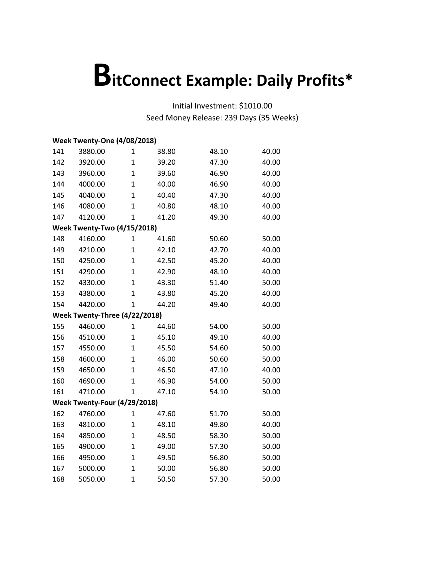|     | <b>Week Twenty-One (4/08/2018)</b> |                |       |       |       |
|-----|------------------------------------|----------------|-------|-------|-------|
| 141 | 3880.00                            | 1              | 38.80 | 48.10 | 40.00 |
| 142 | 3920.00                            | $\mathbf{1}$   | 39.20 | 47.30 | 40.00 |
| 143 | 3960.00                            | $\mathbf{1}$   | 39.60 | 46.90 | 40.00 |
| 144 | 4000.00                            | $\mathbf{1}$   | 40.00 | 46.90 | 40.00 |
| 145 | 4040.00                            | $\overline{1}$ | 40.40 | 47.30 | 40.00 |
| 146 | 4080.00                            | $\overline{1}$ | 40.80 | 48.10 | 40.00 |
| 147 | 4120.00                            | 1              | 41.20 | 49.30 | 40.00 |
|     | <b>Week Twenty-Two (4/15/2018)</b> |                |       |       |       |
| 148 | 4160.00                            | 1              | 41.60 | 50.60 | 50.00 |
| 149 | 4210.00                            | $\mathbf{1}$   | 42.10 | 42.70 | 40.00 |
| 150 | 4250.00                            | $\overline{1}$ | 42.50 | 45.20 | 40.00 |
| 151 | 4290.00                            | $\mathbf 1$    | 42.90 | 48.10 | 40.00 |
| 152 | 4330.00                            | $\mathbf{1}$   | 43.30 | 51.40 | 50.00 |
| 153 | 4380.00                            | $\mathbf{1}$   | 43.80 | 45.20 | 40.00 |
| 154 | 4420.00                            | $\mathbf{1}$   | 44.20 | 49.40 | 40.00 |
|     | Week Twenty-Three (4/22/2018)      |                |       |       |       |
| 155 | 4460.00                            | 1              | 44.60 | 54.00 | 50.00 |
| 156 | 4510.00                            | 1              | 45.10 | 49.10 | 40.00 |
| 157 | 4550.00                            | $\overline{1}$ | 45.50 | 54.60 | 50.00 |
| 158 | 4600.00                            | $\mathbf{1}$   | 46.00 | 50.60 | 50.00 |
| 159 | 4650.00                            | $\mathbf{1}$   | 46.50 | 47.10 | 40.00 |
| 160 | 4690.00                            | $\overline{1}$ | 46.90 | 54.00 | 50.00 |
| 161 | 4710.00                            | 1              | 47.10 | 54.10 | 50.00 |
|     | Week Twenty-Four (4/29/2018)       |                |       |       |       |
| 162 | 4760.00                            | 1              | 47.60 | 51.70 | 50.00 |
| 163 | 4810.00                            | $\mathbf 1$    | 48.10 | 49.80 | 40.00 |
| 164 | 4850.00                            | $\mathbf{1}$   | 48.50 | 58.30 | 50.00 |
| 165 | 4900.00                            | $\mathbf{1}$   | 49.00 | 57.30 | 50.00 |
| 166 | 4950.00                            | $\mathbf 1$    | 49.50 | 56.80 | 50.00 |
| 167 | 5000.00                            | $\mathbf{1}$   | 50.00 | 56.80 | 50.00 |
| 168 | 5050.00                            | $\mathbf{1}$   | 50.50 | 57.30 | 50.00 |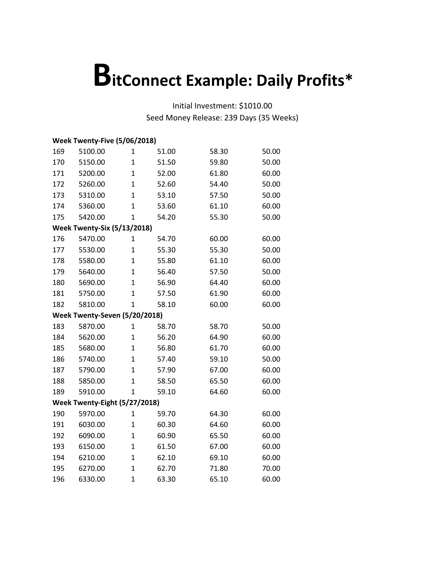|     | Week Twenty-Five (5/06/2018)       |                |       |       |       |
|-----|------------------------------------|----------------|-------|-------|-------|
| 169 | 5100.00                            | 1              | 51.00 | 58.30 | 50.00 |
| 170 | 5150.00                            | $\mathbf{1}$   | 51.50 | 59.80 | 50.00 |
| 171 | 5200.00                            | $\mathbf{1}$   | 52.00 | 61.80 | 60.00 |
| 172 | 5260.00                            | $\mathbf 1$    | 52.60 | 54.40 | 50.00 |
| 173 | 5310.00                            | $\overline{1}$ | 53.10 | 57.50 | 50.00 |
| 174 | 5360.00                            | $\overline{1}$ | 53.60 | 61.10 | 60.00 |
| 175 | 5420.00                            | 1              | 54.20 | 55.30 | 50.00 |
|     | <b>Week Twenty-Six (5/13/2018)</b> |                |       |       |       |
| 176 | 5470.00                            | $\mathbf 1$    | 54.70 | 60.00 | 60.00 |
| 177 | 5530.00                            | $\overline{1}$ | 55.30 | 55.30 | 50.00 |
| 178 | 5580.00                            | $\overline{1}$ | 55.80 | 61.10 | 60.00 |
| 179 | 5640.00                            | $\mathbf{1}$   | 56.40 | 57.50 | 50.00 |
| 180 | 5690.00                            | $\overline{1}$ | 56.90 | 64.40 | 60.00 |
| 181 | 5750.00                            | $\mathbf{1}$   | 57.50 | 61.90 | 60.00 |
| 182 | 5810.00                            | $\overline{1}$ | 58.10 | 60.00 | 60.00 |
|     | Week Twenty-Seven (5/20/2018)      |                |       |       |       |
| 183 | 5870.00                            | 1              | 58.70 | 58.70 | 50.00 |
| 184 | 5620.00                            | $\mathbf{1}$   | 56.20 | 64.90 | 60.00 |
| 185 | 5680.00                            | $\mathbf{1}$   | 56.80 | 61.70 | 60.00 |
| 186 | 5740.00                            | $\overline{1}$ | 57.40 | 59.10 | 50.00 |
| 187 | 5790.00                            | $\mathbf 1$    | 57.90 | 67.00 | 60.00 |
| 188 | 5850.00                            | $\mathbf 1$    | 58.50 | 65.50 | 60.00 |
| 189 | 5910.00                            | $\mathbf{1}$   | 59.10 | 64.60 | 60.00 |
|     | Week Twenty-Eight (5/27/2018)      |                |       |       |       |
| 190 | 5970.00                            | 1              | 59.70 | 64.30 | 60.00 |
| 191 | 6030.00                            | $\mathbf{1}$   | 60.30 | 64.60 | 60.00 |
| 192 | 6090.00                            | $\mathbf{1}$   | 60.90 | 65.50 | 60.00 |
| 193 | 6150.00                            | $\mathbf{1}$   | 61.50 | 67.00 | 60.00 |
| 194 | 6210.00                            | $\mathbf{1}$   | 62.10 | 69.10 | 60.00 |
| 195 | 6270.00                            | $\mathbf{1}$   | 62.70 | 71.80 | 70.00 |
| 196 | 6330.00                            | $\mathbf{1}$   | 63.30 | 65.10 | 60.00 |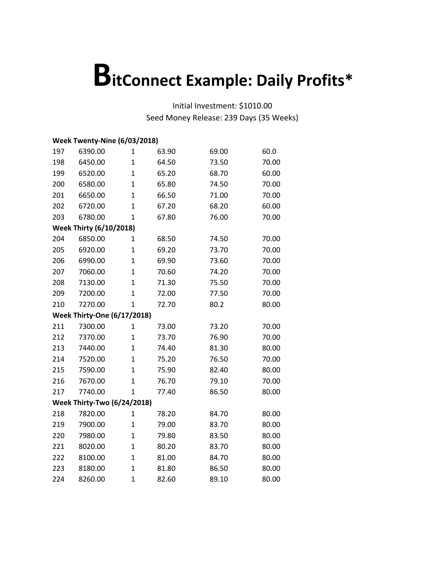|     | Week Twenty-Nine (6/03/2018)       |                |       |       |       |
|-----|------------------------------------|----------------|-------|-------|-------|
| 197 | 6390.00                            | 1              | 63.90 | 69.00 | 60.0  |
| 198 | 6450.00                            | $\overline{1}$ | 64.50 | 73.50 | 70.00 |
| 199 | 6520.00                            | $\mathbf{1}$   | 65.20 | 68.70 | 60.00 |
| 200 | 6580.00                            | $\mathbf{1}$   | 65.80 | 74.50 | 70.00 |
| 201 | 6650.00                            | $\overline{1}$ | 66.50 | 71.00 | 70.00 |
| 202 | 6720.00                            | $\overline{1}$ | 67.20 | 68.20 | 60.00 |
| 203 | 6780.00                            | 1              | 67.80 | 76.00 | 70.00 |
|     | <b>Week Thirty (6/10/2018)</b>     |                |       |       |       |
| 204 | 6850.00                            | 1              | 68.50 | 74.50 | 70.00 |
| 205 | 6920.00                            | $\mathbf{1}$   | 69.20 | 73.70 | 70.00 |
| 206 | 6990.00                            | $\overline{1}$ | 69.90 | 73.60 | 70.00 |
| 207 | 7060.00                            | $\mathbf{1}$   | 70.60 | 74.20 | 70.00 |
| 208 | 7130.00                            | $\mathbf{1}$   | 71.30 | 75.50 | 70.00 |
| 209 | 7200.00                            | $\mathbf{1}$   | 72.00 | 77.50 | 70.00 |
| 210 | 7270.00                            | $\overline{1}$ | 72.70 | 80.2  | 80.00 |
|     | <b>Week Thirty-One (6/17/2018)</b> |                |       |       |       |
| 211 | 7300.00                            | 1              | 73.00 | 73.20 | 70.00 |
| 212 | 7370.00                            | 1              | 73.70 | 76.90 | 70.00 |
| 213 | 7440.00                            | $\overline{1}$ | 74.40 | 81.30 | 80.00 |
| 214 | 7520.00                            | $\mathbf{1}$   | 75.20 | 76.50 | 70.00 |
| 215 | 7590.00                            | $\mathbf{1}$   | 75.90 | 82.40 | 80.00 |
| 216 | 7670.00                            | $\overline{1}$ | 76.70 | 79.10 | 70.00 |
| 217 | 7740.00                            | 1              | 77.40 | 86.50 | 80.00 |
|     | <b>Week Thirty-Two (6/24/2018)</b> |                |       |       |       |
| 218 | 7820.00                            | 1              | 78.20 | 84.70 | 80.00 |
| 219 | 7900.00                            | $\mathbf{1}$   | 79.00 | 83.70 | 80.00 |
| 220 | 7980.00                            | $\mathbf{1}$   | 79.80 | 83.50 | 80.00 |
| 221 | 8020.00                            | $\mathbf{1}$   | 80.20 | 83.70 | 80.00 |
| 222 | 8100.00                            | $\mathbf{1}$   | 81.00 | 84.70 | 80.00 |
| 223 | 8180.00                            | $\mathbf{1}$   | 81.80 | 86.50 | 80.00 |
| 224 | 8260.00                            | $\mathbf{1}$   | 82.60 | 89.10 | 80.00 |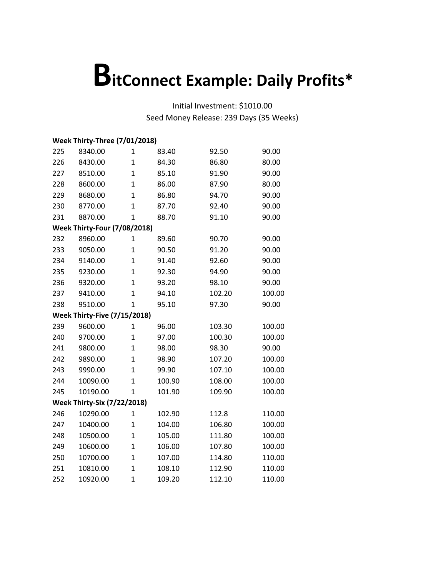|     | <b>Week Thirty-Three (7/01/2018)</b> |                |        |        |        |  |  |  |  |
|-----|--------------------------------------|----------------|--------|--------|--------|--|--|--|--|
| 225 | 8340.00                              | 1              | 83.40  | 92.50  | 90.00  |  |  |  |  |
| 226 | 8430.00                              | $\overline{1}$ | 84.30  | 86.80  | 80.00  |  |  |  |  |
| 227 | 8510.00                              | $\overline{1}$ | 85.10  | 91.90  | 90.00  |  |  |  |  |
| 228 | 8600.00                              | $\overline{1}$ | 86.00  | 87.90  | 80.00  |  |  |  |  |
| 229 | 8680.00                              | $\overline{1}$ | 86.80  | 94.70  | 90.00  |  |  |  |  |
| 230 | 8770.00                              | $\overline{1}$ | 87.70  | 92.40  | 90.00  |  |  |  |  |
| 231 | 8870.00                              | 1              | 88.70  | 91.10  | 90.00  |  |  |  |  |
|     | <b>Week Thirty-Four (7/08/2018)</b>  |                |        |        |        |  |  |  |  |
| 232 | 8960.00                              | 1              | 89.60  | 90.70  | 90.00  |  |  |  |  |
| 233 | 9050.00                              | $\overline{1}$ | 90.50  | 91.20  | 90.00  |  |  |  |  |
| 234 | 9140.00                              | $\overline{1}$ | 91.40  | 92.60  | 90.00  |  |  |  |  |
| 235 | 9230.00                              | $\mathbf{1}$   | 92.30  | 94.90  | 90.00  |  |  |  |  |
| 236 | 9320.00                              | $\mathbf{1}$   | 93.20  | 98.10  | 90.00  |  |  |  |  |
| 237 | 9410.00                              | $\overline{1}$ | 94.10  | 102.20 | 100.00 |  |  |  |  |
| 238 | 9510.00                              | $\mathbf{1}$   | 95.10  | 97.30  | 90.00  |  |  |  |  |
|     | <b>Week Thirty-Five (7/15/2018)</b>  |                |        |        |        |  |  |  |  |
| 239 | 9600.00                              | $\mathbf{1}$   | 96.00  | 103.30 | 100.00 |  |  |  |  |
| 240 | 9700.00                              | $\mathbf{1}$   | 97.00  | 100.30 | 100.00 |  |  |  |  |
| 241 | 9800.00                              | $\overline{1}$ | 98.00  | 98.30  | 90.00  |  |  |  |  |
| 242 | 9890.00                              | $\overline{1}$ | 98.90  | 107.20 | 100.00 |  |  |  |  |
| 243 | 9990.00                              | $\mathbf{1}$   | 99.90  | 107.10 | 100.00 |  |  |  |  |
| 244 | 10090.00                             | $\overline{1}$ | 100.90 | 108.00 | 100.00 |  |  |  |  |
| 245 | 10190.00                             | $\mathbf{1}$   | 101.90 | 109.90 | 100.00 |  |  |  |  |
|     | <b>Week Thirty-Six (7/22/2018)</b>   |                |        |        |        |  |  |  |  |
| 246 | 10290.00                             | $\mathbf{1}$   | 102.90 | 112.8  | 110.00 |  |  |  |  |
| 247 | 10400.00                             | $\mathbf{1}$   | 104.00 | 106.80 | 100.00 |  |  |  |  |
| 248 | 10500.00                             | $\overline{1}$ | 105.00 | 111.80 | 100.00 |  |  |  |  |
| 249 | 10600.00                             | $\overline{1}$ | 106.00 | 107.80 | 100.00 |  |  |  |  |
| 250 | 10700.00                             | $\mathbf{1}$   | 107.00 | 114.80 | 110.00 |  |  |  |  |
| 251 | 10810.00                             | $\mathbf{1}$   | 108.10 | 112.90 | 110.00 |  |  |  |  |
| 252 | 10920.00                             | $\overline{1}$ | 109.20 | 112.10 | 110.00 |  |  |  |  |